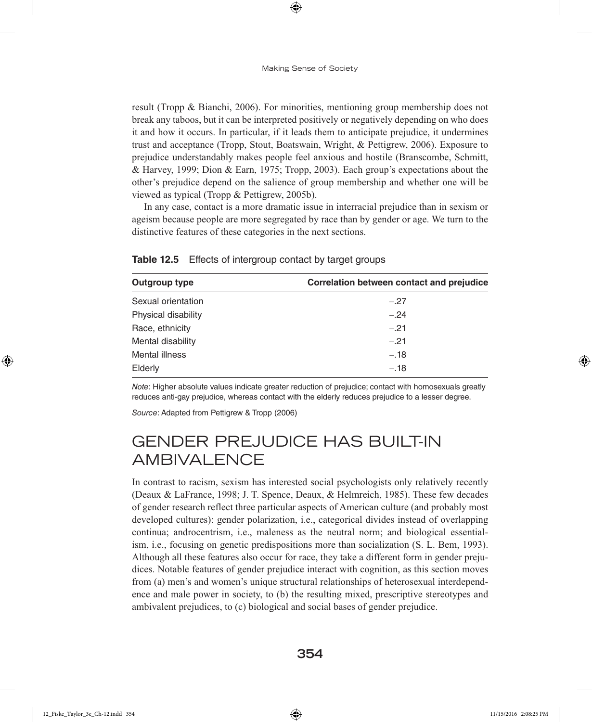result (Tropp & Bianchi, 2006). For minorities, mentioning group membership does not break any taboos, but it can be interpreted positively or negatively depending on who does it and how it occurs. In particular, if it leads them to anticipate prejudice, it undermines trust and acceptance (Tropp, Stout, Boatswain, Wright, & Pettigrew, 2006). Exposure to prejudice understandably makes people feel anxious and hostile (Branscombe, Schmitt, & Harvey, 1999; Dion & Earn, 1975; Tropp, 2003). Each group's expectations about the other's prejudice depend on the salience of group membership and whether one will be viewed as typical (Tropp & Pettigrew, 2005b).

In any case, contact is a more dramatic issue in interracial prejudice than in sexism or ageism because people are more segregated by race than by gender or age. We turn to the distinctive features of these categories in the next sections.

| Correlation between contact and prejudice |
|-------------------------------------------|
| $-.27$                                    |
| $-.24$                                    |
| $-.21$                                    |
| $-.21$                                    |
| $-.18$                                    |
| $-.18$                                    |
|                                           |

| <b>Table 12.5</b> Effects of intergroup contact by target groups |  |  |
|------------------------------------------------------------------|--|--|
|                                                                  |  |  |

*Note*: Higher absolute values indicate greater reduction of prejudice; contact with homosexuals greatly reduces anti-gay prejudice, whereas contact with the elderly reduces prejudice to a lesser degree.

*Source*: Adapted from Pettigrew & Tropp (2006)

# GENDER PREJUDICE HAS BUILT-IN AMBIVALENCE

In contrast to racism, sexism has interested social psychologists only relatively recently (Deaux & LaFrance, 1998; J. T. Spence, Deaux, & Helmreich, 1985). These few decades of gender research reflect three particular aspects of American culture (and probably most developed cultures): gender polarization, i.e., categorical divides instead of overlapping continua; androcentrism, i.e., maleness as the neutral norm; and biological essentialism, i.e., focusing on genetic predispositions more than socialization (S. L. Bem, 1993). Although all these features also occur for race, they take a different form in gender prejudices. Notable features of gender prejudice interact with cognition, as this section moves from (a) men's and women's unique structural relationships of heterosexual interdependence and male power in society, to (b) the resulting mixed, prescriptive stereotypes and ambivalent prejudices, to (c) biological and social bases of gender prejudice.

**354**

♠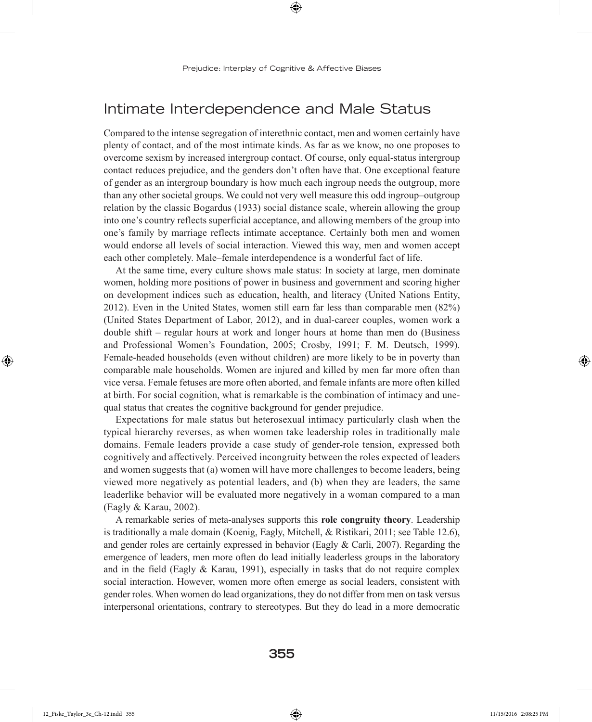#### Intimate Interdependence and Male Status

Compared to the intense segregation of interethnic contact, men and women certainly have plenty of contact, and of the most intimate kinds. As far as we know, no one proposes to overcome sexism by increased intergroup contact. Of course, only equal-status intergroup contact reduces prejudice, and the genders don't often have that. One exceptional feature of gender as an intergroup boundary is how much each ingroup needs the outgroup, more than any other societal groups. We could not very well measure this odd ingroup–outgroup relation by the classic Bogardus (1933) social distance scale, wherein allowing the group into one's country reflects superficial acceptance, and allowing members of the group into one's family by marriage reflects intimate acceptance. Certainly both men and women would endorse all levels of social interaction. Viewed this way, men and women accept each other completely. Male–female interdependence is a wonderful fact of life.

At the same time, every culture shows male status: In society at large, men dominate women, holding more positions of power in business and government and scoring higher on development indices such as education, health, and literacy (United Nations Entity, 2012). Even in the United States, women still earn far less than comparable men (82%) (United States Department of Labor, 2012), and in dual-career couples, women work a double shift – regular hours at work and longer hours at home than men do (Business and Professional Women's Foundation, 2005; Crosby, 1991; F. M. Deutsch, 1999). Female-headed households (even without children) are more likely to be in poverty than comparable male households. Women are injured and killed by men far more often than vice versa. Female fetuses are more often aborted, and female infants are more often killed at birth. For social cognition, what is remarkable is the combination of intimacy and unequal status that creates the cognitive background for gender prejudice.

Expectations for male status but heterosexual intimacy particularly clash when the typical hierarchy reverses, as when women take leadership roles in traditionally male domains. Female leaders provide a case study of gender-role tension, expressed both cognitively and affectively. Perceived incongruity between the roles expected of leaders and women suggests that (a) women will have more challenges to become leaders, being viewed more negatively as potential leaders, and (b) when they are leaders, the same leaderlike behavior will be evaluated more negatively in a woman compared to a man (Eagly & Karau, 2002).

A remarkable series of meta-analyses supports this **role congruity theory**. Leadership is traditionally a male domain (Koenig, Eagly, Mitchell, & Ristikari, 2011; see Table 12.6), and gender roles are certainly expressed in behavior (Eagly & Carli, 2007). Regarding the emergence of leaders, men more often do lead initially leaderless groups in the laboratory and in the field (Eagly  $& Karau$ , 1991), especially in tasks that do not require complex social interaction. However, women more often emerge as social leaders, consistent with gender roles. When women do lead organizations, they do not differ from men on task versus interpersonal orientations, contrary to stereotypes. But they do lead in a more democratic

**355**

♠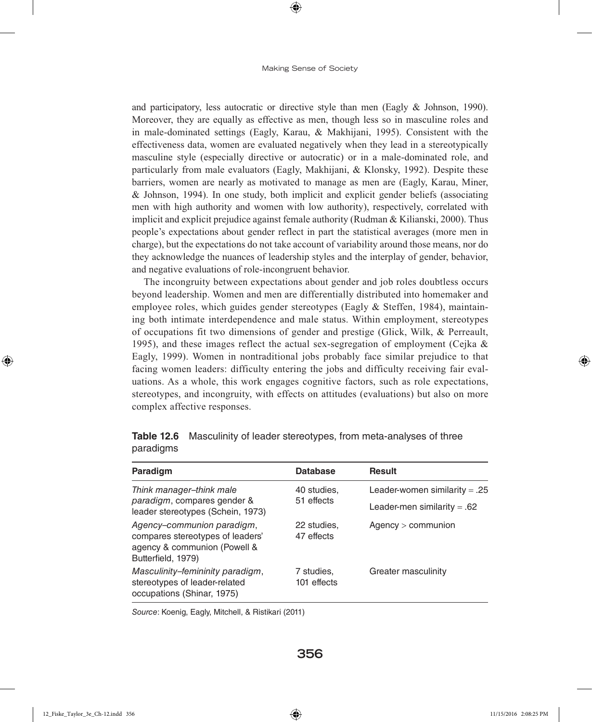#### Making Sense of Society

⊕

and participatory, less autocratic or directive style than men (Eagly & Johnson, 1990). Moreover, they are equally as effective as men, though less so in masculine roles and in male-dominated settings (Eagly, Karau, & Makhijani, 1995). Consistent with the effectiveness data, women are evaluated negatively when they lead in a stereotypically masculine style (especially directive or autocratic) or in a male-dominated role, and particularly from male evaluators (Eagly, Makhijani, & Klonsky, 1992). Despite these barriers, women are nearly as motivated to manage as men are (Eagly, Karau, Miner, & Johnson, 1994). In one study, both implicit and explicit gender beliefs (associating men with high authority and women with low authority), respectively, correlated with implicit and explicit prejudice against female authority (Rudman & Kilianski, 2000). Thus people's expectations about gender reflect in part the statistical averages (more men in charge), but the expectations do not take account of variability around those means, nor do they acknowledge the nuances of leadership styles and the interplay of gender, behavior, and negative evaluations of role-incongruent behavior.

The incongruity between expectations about gender and job roles doubtless occurs beyond leadership. Women and men are differentially distributed into homemaker and employee roles, which guides gender stereotypes (Eagly  $&$  Steffen, 1984), maintaining both intimate interdependence and male status. Within employment, stereotypes of occupations fit two dimensions of gender and prestige (Glick, Wilk, & Perreault, 1995), and these images reflect the actual sex-segregation of employment (Cejka  $\&$ Eagly, 1999). Women in nontraditional jobs probably face similar prejudice to that facing women leaders: difficulty entering the jobs and difficulty receiving fair evaluations. As a whole, this work engages cognitive factors, such as role expectations, stereotypes, and incongruity, with effects on attitudes (evaluations) but also on more complex affective responses.

| Paradigm                                                                                                             | <b>Database</b>           | <b>Result</b>                                                    |
|----------------------------------------------------------------------------------------------------------------------|---------------------------|------------------------------------------------------------------|
| Think manager-think male<br>paradigm, compares gender &<br>leader stereotypes (Schein, 1973)                         | 40 studies.<br>51 effects | Leader-women similarity = $.25$<br>Leader-men similarity = $.62$ |
| Agency-communion paradigm,<br>compares stereotypes of leaders'<br>agency & communion (Powell &<br>Butterfield, 1979) | 22 studies.<br>47 effects | Agency > communication                                           |
| Masculinity-femininity paradigm,<br>stereotypes of leader-related<br>occupations (Shinar, 1975)                      | 7 studies,<br>101 effects | Greater masculinity                                              |

**Table 12.6** Masculinity of leader stereotypes, from meta-analyses of three paradigms

*Source*: Koenig, Eagly, Mitchell, & Ristikari (2011)

♠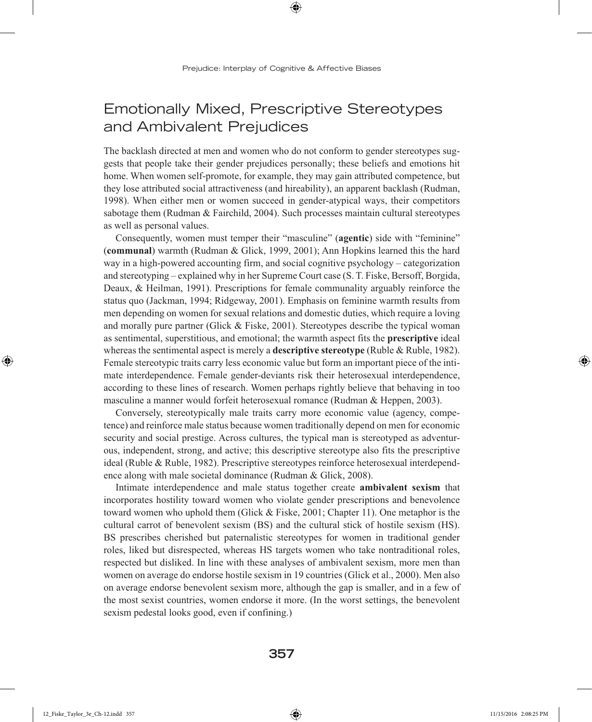## Emotionally Mixed, Prescriptive Stereotypes and Ambivalent Prejudices

The backlash directed at men and women who do not conform to gender stereotypes suggests that people take their gender prejudices personally; these beliefs and emotions hit home. When women self-promote, for example, they may gain attributed competence, but they lose attributed social attractiveness (and hireability), an apparent backlash (Rudman, 1998). When either men or women succeed in gender-atypical ways, their competitors sabotage them (Rudman & Fairchild, 2004). Such processes maintain cultural stereotypes as well as personal values.

Consequently, women must temper their "masculine" (**agentic**) side with "feminine" (**communal**) warmth (Rudman & Glick, 1999, 2001); Ann Hopkins learned this the hard way in a high-powered accounting firm, and social cognitive psychology – categorization and stereotyping – explained why in her Supreme Court case (S. T. Fiske, Bersoff, Borgida, Deaux, & Heilman, 1991). Prescriptions for female communality arguably reinforce the status quo (Jackman, 1994; Ridgeway, 2001). Emphasis on feminine warmth results from men depending on women for sexual relations and domestic duties, which require a loving and morally pure partner (Glick  $&$  Fiske, 2001). Stereotypes describe the typical woman as sentimental, superstitious, and emotional; the warmth aspect fits the **prescriptive** ideal whereas the sentimental aspect is merely a **descriptive stereotype** (Ruble & Ruble, 1982). Female stereotypic traits carry less economic value but form an important piece of the intimate interdependence. Female gender-deviants risk their heterosexual interdependence, according to these lines of research. Women perhaps rightly believe that behaving in too masculine a manner would forfeit heterosexual romance (Rudman & Heppen, 2003).

Conversely, stereotypically male traits carry more economic value (agency, competence) and reinforce male status because women traditionally depend on men for economic security and social prestige. Across cultures, the typical man is stereotyped as adventurous, independent, strong, and active; this descriptive stereotype also fits the prescriptive ideal (Ruble & Ruble, 1982). Prescriptive stereotypes reinforce heterosexual interdependence along with male societal dominance (Rudman & Glick, 2008).

Intimate interdependence and male status together create **ambivalent sexism** that incorporates hostility toward women who violate gender prescriptions and benevolence toward women who uphold them (Glick  $&$  Fiske, 2001; Chapter 11). One metaphor is the cultural carrot of benevolent sexism (BS) and the cultural stick of hostile sexism (HS). BS prescribes cherished but paternalistic stereotypes for women in traditional gender roles, liked but disrespected, whereas HS targets women who take nontraditional roles, respected but disliked. In line with these analyses of ambivalent sexism, more men than women on average do endorse hostile sexism in 19 countries (Glick et al., 2000). Men also on average endorse benevolent sexism more, although the gap is smaller, and in a few of the most sexist countries, women endorse it more. (In the worst settings, the benevolent sexism pedestal looks good, even if confining.)

♠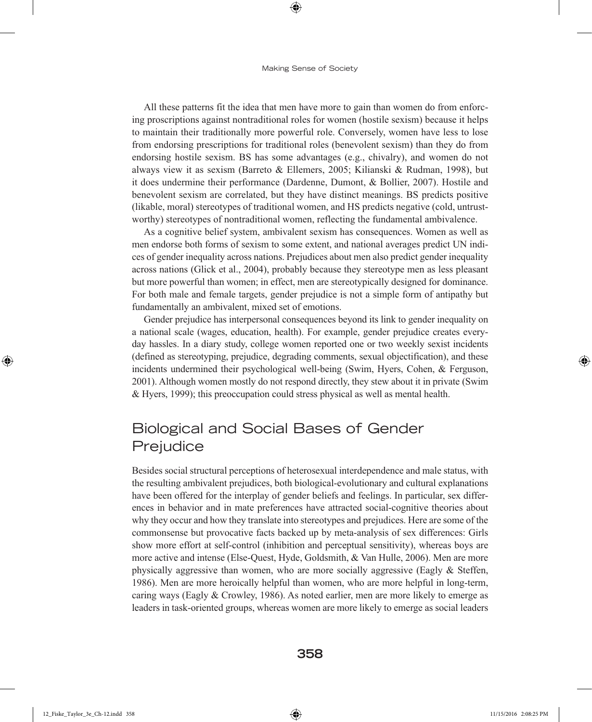#### Making Sense of Society

⊕

All these patterns fit the idea that men have more to gain than women do from enforcing proscriptions against nontraditional roles for women (hostile sexism) because it helps to maintain their traditionally more powerful role. Conversely, women have less to lose from endorsing prescriptions for traditional roles (benevolent sexism) than they do from endorsing hostile sexism. BS has some advantages (e.g., chivalry), and women do not always view it as sexism (Barreto & Ellemers, 2005; Kilianski & Rudman, 1998), but it does undermine their performance (Dardenne, Dumont, & Bollier, 2007). Hostile and benevolent sexism are correlated, but they have distinct meanings. BS predicts positive (likable, moral) stereotypes of traditional women, and HS predicts negative (cold, untrustworthy) stereotypes of nontraditional women, reflecting the fundamental ambivalence.

As a cognitive belief system, ambivalent sexism has consequences. Women as well as men endorse both forms of sexism to some extent, and national averages predict UN indices of gender inequality across nations. Prejudices about men also predict gender inequality across nations (Glick et al., 2004), probably because they stereotype men as less pleasant but more powerful than women; in effect, men are stereotypically designed for dominance. For both male and female targets, gender prejudice is not a simple form of antipathy but fundamentally an ambivalent, mixed set of emotions.

Gender prejudice has interpersonal consequences beyond its link to gender inequality on a national scale (wages, education, health). For example, gender prejudice creates everyday hassles. In a diary study, college women reported one or two weekly sexist incidents (defined as stereotyping, prejudice, degrading comments, sexual objectification), and these incidents undermined their psychological well-being (Swim, Hyers, Cohen, & Ferguson, 2001). Although women mostly do not respond directly, they stew about it in private (Swim & Hyers, 1999); this preoccupation could stress physical as well as mental health.

## Biological and Social Bases of Gender **Prejudice**

Besides social structural perceptions of heterosexual interdependence and male status, with the resulting ambivalent prejudices, both biological-evolutionary and cultural explanations have been offered for the interplay of gender beliefs and feelings. In particular, sex differences in behavior and in mate preferences have attracted social-cognitive theories about why they occur and how they translate into stereotypes and prejudices. Here are some of the commonsense but provocative facts backed up by meta-analysis of sex differences: Girls show more effort at self-control (inhibition and perceptual sensitivity), whereas boys are more active and intense (Else-Quest, Hyde, Goldsmith, & Van Hulle, 2006). Men are more physically aggressive than women, who are more socially aggressive (Eagly  $\&$  Steffen, 1986). Men are more heroically helpful than women, who are more helpful in long-term, caring ways (Eagly & Crowley, 1986). As noted earlier, men are more likely to emerge as leaders in task-oriented groups, whereas women are more likely to emerge as social leaders

**358**

♠